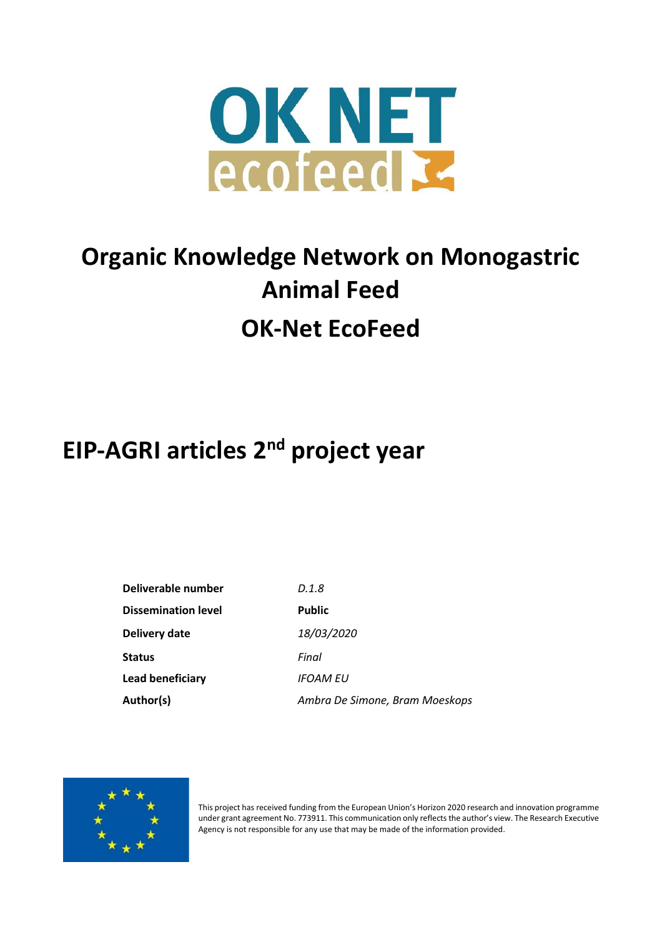

# **Organic Knowledge Network on Monogastric Animal Feed OK-Net EcoFeed**

# **EIP-AGRI articles 2 nd project year**

| Deliverable number         | D.1.8                          |
|----------------------------|--------------------------------|
| <b>Dissemination level</b> | <b>Public</b>                  |
| Delivery date              | 18/03/2020                     |
| <b>Status</b>              | Final                          |
| Lead beneficiary           | IFOAM EU                       |
| Author(s)                  | Ambra De Simone, Bram Moeskops |



This project has received funding from the European Union's Horizon 2020 research and innovation programme under grant agreement No. 773911. This communication only reflects the author's view. The Research Executive Agency is not responsible for any use that may be made of the information provided.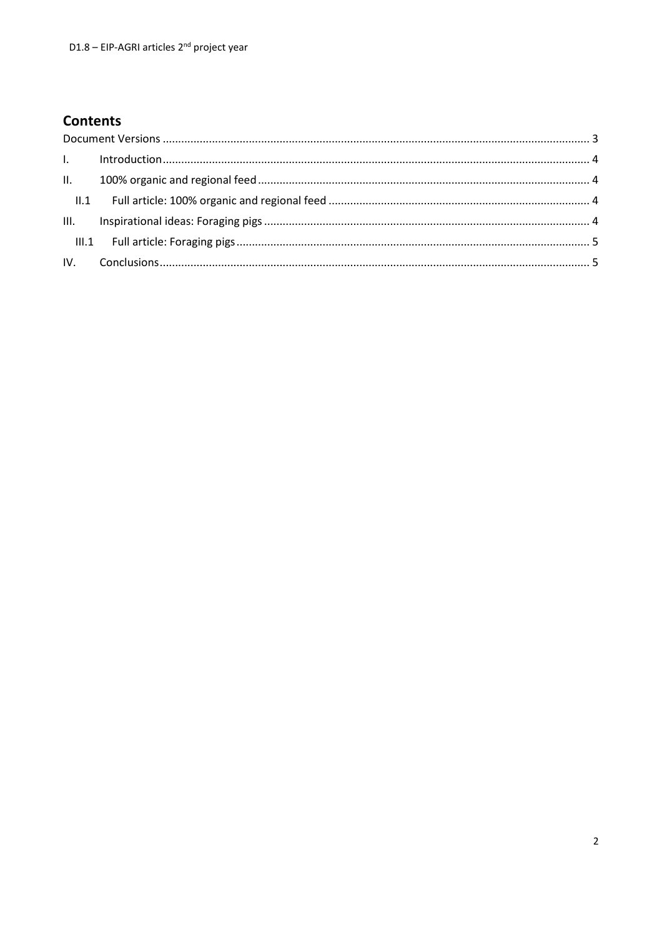# **Contents**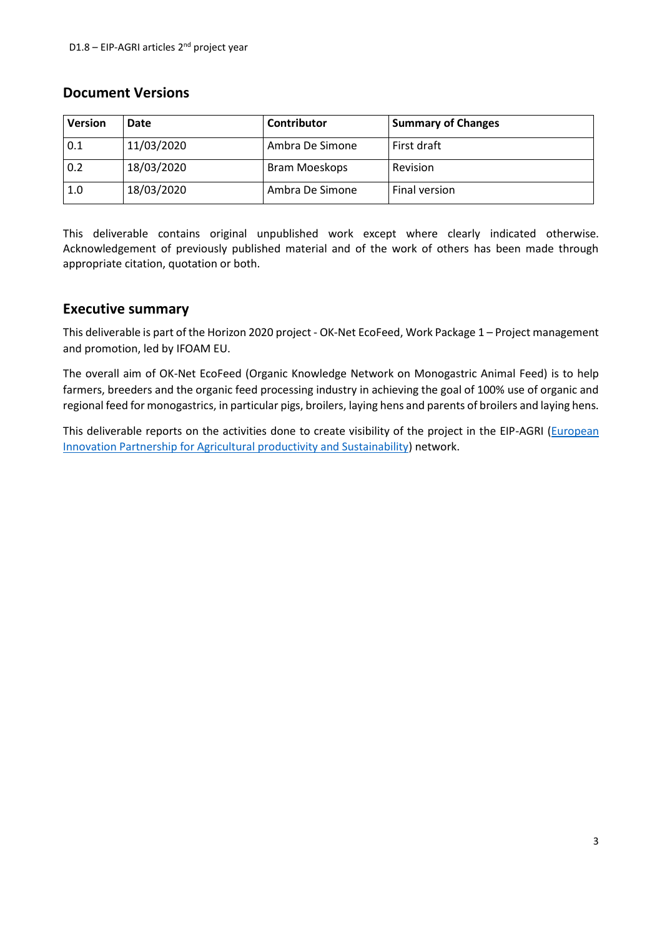#### <span id="page-2-0"></span>**Document Versions**

| <b>Version</b> | Date       | <b>Contributor</b> | <b>Summary of Changes</b> |
|----------------|------------|--------------------|---------------------------|
| 0.1            | 11/03/2020 | Ambra De Simone    | First draft               |
| 0.2            | 18/03/2020 | Bram Moeskops      | <b>Revision</b>           |
| 1.0            | 18/03/2020 | Ambra De Simone    | Final version             |

This deliverable contains original unpublished work except where clearly indicated otherwise. Acknowledgement of previously published material and of the work of others has been made through appropriate citation, quotation or both.

#### **Executive summary**

This deliverable is part of the Horizon 2020 project - OK-Net EcoFeed, Work Package 1 – Project management and promotion, led by IFOAM EU.

The overall aim of OK-Net EcoFeed (Organic Knowledge Network on Monogastric Animal Feed) is to help farmers, breeders and the organic feed processing industry in achieving the goal of 100% use of organic and regional feed for monogastrics, in particular pigs, broilers, laying hens and parents of broilers and laying hens.

This deliverable reports on the activities done to create visibility of the project in the EIP-AGRI [\(European](https://ec.europa.eu/eip/agriculture/en/european-innovation-partnership-agricultural)  [Innovation Partnership for Agricultural productivity and Sustainability\)](https://ec.europa.eu/eip/agriculture/en/european-innovation-partnership-agricultural) network.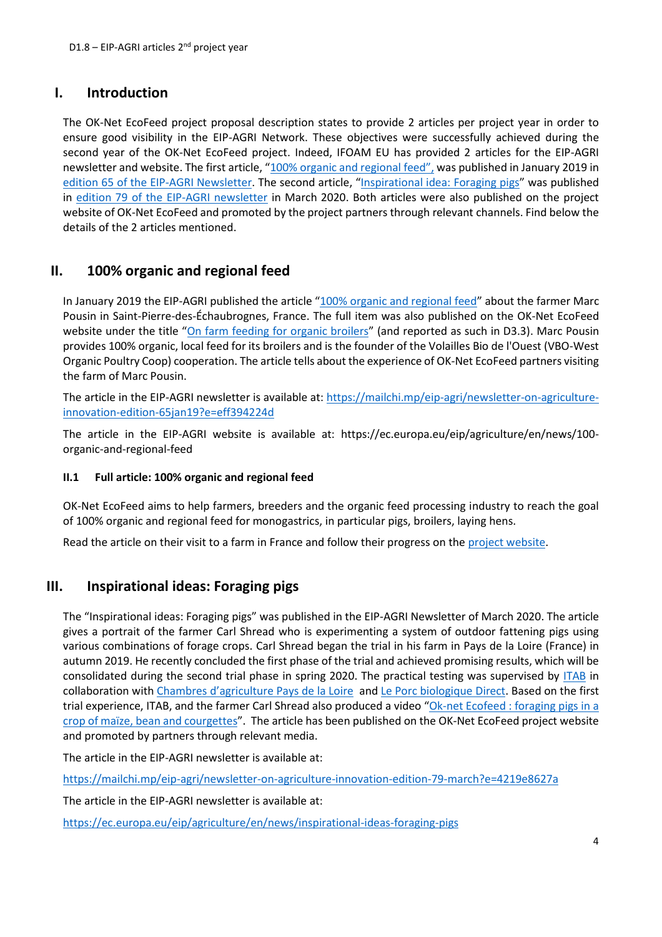### <span id="page-3-0"></span>**I. Introduction**

The OK-Net EcoFeed project proposal description states to provide 2 articles per project year in order to ensure good visibility in the EIP-AGRI Network. These objectives were successfully achieved during the second year of the OK-Net EcoFeed project. Indeed, IFOAM EU has provided 2 articles for the EIP-AGRI newsletter and website. The first article, ["100% organic and regional feed",](https://ec.europa.eu/eip/agriculture/en/news/100-organic-and-regional-feed) was published in January 2019 in edition 65 [of the EIP-AGRI Newsletter.](https://mailchi.mp/eip-agri/newsletter-on-agriculture-innovation-edition-65jan19?e=eff394224d) The second article, "[Inspirational idea: Foraging pigs](https://ec.europa.eu/eip/agriculture/en/news/inspirational-ideas-foraging-pigs?pk_source=mailing_list&pk_medium=email&pk_campaign=newsletter&pk_content=nl_03_2020)" was published in edition 79 [of the EIP-AGRI newsletter](https://mailchi.mp/eip-agri/newsletter-on-agriculture-innovation-edition-79-march?e=4219e8627a) in March 2020. Both articles were also published on the project website of OK-Net EcoFeed and promoted by the project partners through relevant channels. Find below the details of the 2 articles mentioned.

## <span id="page-3-1"></span>**II. 100% organic and regional feed**

In January 2019 the EIP-AGRI published the article "[100% organic and regional feed](https://mailchi.mp/eip-agri/newsletter-on-agriculture-innovation-edition-65jan19?e=eff394224d)" about the farmer Marc Pousin in Saint-Pierre-des-Échaubrognes, France. The full item was also published on the OK-Net EcoFeed website under the title "[On farm feeding for organic broilers](https://ok-net-ecofeed.eu/2018/on-farm-feeding-for-organic-broilers/)" (and reported as such in D3.3). Marc Pousin provides 100% organic, local feed for its broilers and is the founder of the Volailles Bio de l'Ouest (VBO-West Organic Poultry Coop) cooperation. The article tells about the experience of OK-Net EcoFeed partners visiting the farm of Marc Pousin.

The article in the EIP-AGRI newsletter is available at: [https://mailchi.mp/eip-agri/newsletter-on-agriculture](https://mailchi.mp/eip-agri/newsletter-on-agriculture-innovation-edition-65jan19?e=eff394224d)[innovation-edition-65jan19?e=eff394224d](https://mailchi.mp/eip-agri/newsletter-on-agriculture-innovation-edition-65jan19?e=eff394224d)

The article in the EIP-AGRI website is available at: https://ec.europa.eu/eip/agriculture/en/news/100 organic-and-regional-feed

#### <span id="page-3-2"></span>**II.1 Full article: 100% organic and regional feed**

OK-Net EcoFeed aims to help farmers, breeders and the organic feed processing industry to reach the goal of 100% organic and regional feed for monogastrics, in particular pigs, broilers, laying hens.

<span id="page-3-3"></span>Read the article on their visit to a farm in France and follow their progress on th[e project website.](https://ok-net-ecofeed.eu/2018/on-farm-feeding-for-organic-broilers/)

## **III. Inspirational ideas: Foraging pigs**

The "Inspirational ideas: Foraging pigs" was published in the EIP-AGRI Newsletter of March 2020. The article gives a portrait of the farmer Carl Shread who is experimenting a system of outdoor fattening pigs using various combinations of forage crops. Carl Shread began the trial in his farm in Pays de la Loire (France) in autumn 2019. He recently concluded the first phase of the trial and achieved promising results, which will be consolidated during the second trial phase in spring 2020. The practical testing was supervised by [ITAB](http://www.itab.asso.fr/) in collaboration with Chambres d'[agriculture Pays de la Loire](https://pays-de-la-loire.chambres-agriculture.fr/) and [Le Porc biologique Direct.](https://www.porcbiologique.fr/nos-eleveurs/les-eleveurs-bio-direct/) Based on the first trial experience, ITAB, and the farmer Carl Shread also produced a video "[Ok-net Ecofeed : foraging pigs in a](https://www.youtube.com/watch?v=kfjjzFgthJ8&feature=youtu.be)  [crop of maïze, bean and courgettes](https://www.youtube.com/watch?v=kfjjzFgthJ8&feature=youtu.be)". The article has been published on the OK-Net EcoFeed project website and promoted by partners through relevant media.

The article in the EIP-AGRI newsletter is available at:

<https://mailchi.mp/eip-agri/newsletter-on-agriculture-innovation-edition-79-march?e=4219e8627a>

The article in the EIP-AGRI newsletter is available at:

<https://ec.europa.eu/eip/agriculture/en/news/inspirational-ideas-foraging-pigs>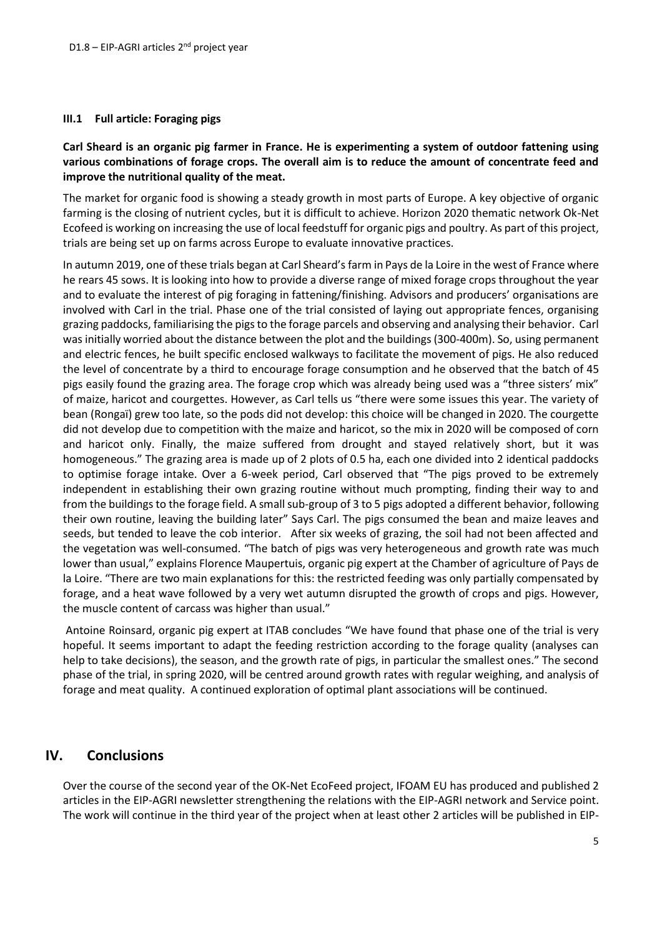#### <span id="page-4-0"></span>**III.1 Full article: Foraging pigs**

#### **Carl Sheard is an organic pig farmer in France. He is experimenting a system of outdoor fattening using various combinations of forage crops. The overall aim is to reduce the amount of concentrate feed and improve the nutritional quality of the meat.**

The market for organic food is showing a steady growth in most parts of Europe. A key objective of organic farming is the closing of nutrient cycles, but it is difficult to achieve. Horizon 2020 thematic network Ok-Net Ecofeed is working on increasing the use of local feedstuff for organic pigs and poultry. As part of this project, trials are being set up on farms across Europe to evaluate innovative practices.

In autumn 2019, one of these trials began at Carl Sheard's farm in Pays de la Loire in the west of France where he rears 45 sows. It is looking into how to provide a diverse range of mixed forage crops throughout the year and to evaluate the interest of pig foraging in fattening/finishing. Advisors and producers' organisations are involved with Carl in the trial. Phase one of the trial consisted of laying out appropriate fences, organising grazing paddocks, familiarising the pigs to the forage parcels and observing and analysing their behavior. Carl was initially worried about the distance between the plot and the buildings (300-400m). So, using permanent and electric fences, he built specific enclosed walkways to facilitate the movement of pigs. He also reduced the level of concentrate by a third to encourage forage consumption and he observed that the batch of 45 pigs easily found the grazing area. The forage crop which was already being used was a "three sisters' mix" of maize, haricot and courgettes. However, as Carl tells us "there were some issues this year. The variety of bean (Rongaï) grew too late, so the pods did not develop: this choice will be changed in 2020. The courgette did not develop due to competition with the maize and haricot, so the mix in 2020 will be composed of corn and haricot only. Finally, the maize suffered from drought and stayed relatively short, but it was homogeneous." The grazing area is made up of 2 plots of 0.5 ha, each one divided into 2 identical paddocks to optimise forage intake. Over a 6-week period, Carl observed that "The pigs proved to be extremely independent in establishing their own grazing routine without much prompting, finding their way to and from the buildings to the forage field. A small sub-group of 3 to 5 pigs adopted a different behavior, following their own routine, leaving the building later" Says Carl. The pigs consumed the bean and maize leaves and seeds, but tended to leave the cob interior. After six weeks of grazing, the soil had not been affected and the vegetation was well-consumed. "The batch of pigs was very heterogeneous and growth rate was much lower than usual," explains Florence Maupertuis, organic pig expert at the Chamber of agriculture of Pays de la Loire. "There are two main explanations for this: the restricted feeding was only partially compensated by forage, and a heat wave followed by a very wet autumn disrupted the growth of crops and pigs. However, the muscle content of carcass was higher than usual."

Antoine Roinsard, organic pig expert at ITAB concludes "We have found that phase one of the trial is very hopeful. It seems important to adapt the feeding restriction according to the forage quality (analyses can help to take decisions), the season, and the growth rate of pigs, in particular the smallest ones." The second phase of the trial, in spring 2020, will be centred around growth rates with regular weighing, and analysis of forage and meat quality. A continued exploration of optimal plant associations will be continued.

### <span id="page-4-1"></span>**IV. Conclusions**

Over the course of the second year of the OK-Net EcoFeed project, IFOAM EU has produced and published 2 articles in the EIP-AGRI newsletter strengthening the relations with the EIP-AGRI network and Service point. The work will continue in the third year of the project when at least other 2 articles will be published in EIP-